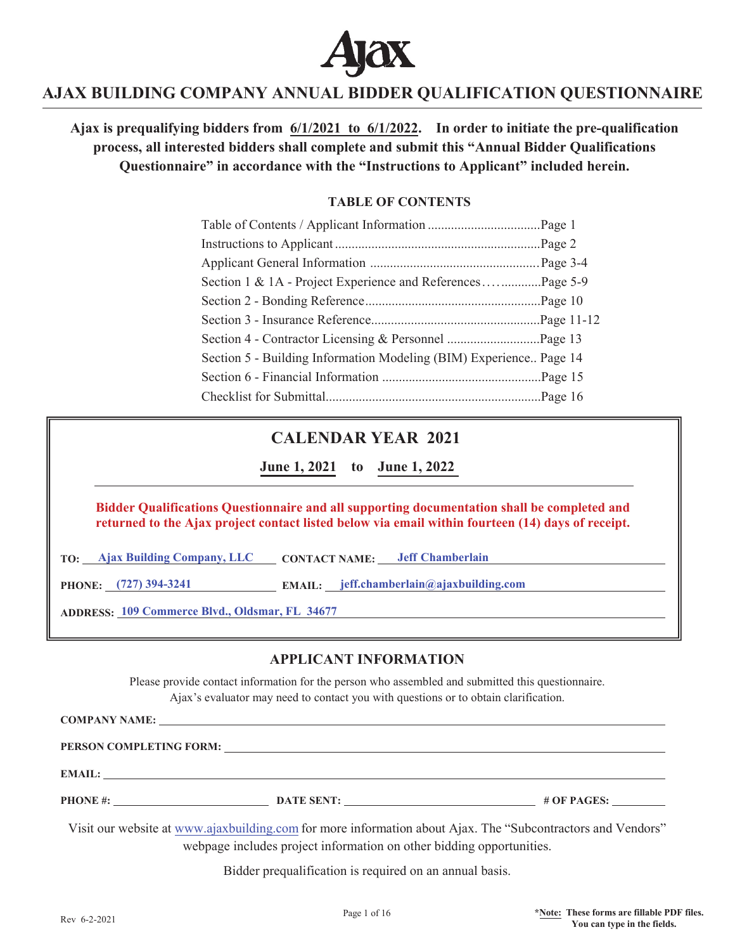

Ajax is prequalifying bidders from  $6/1/2021$  to  $6/1/2022$ . In order to initiate the pre-qualification **process, all interested bidders shall complete and submit this "Annual Bidder Qualifications Questionnaire" in accordance with the "Instructions to Applicant" included herein.** 

### *TABLE OF CONTENTS*

| Section 1 & 1A - Project Experience and ReferencesPage 5-9         |  |
|--------------------------------------------------------------------|--|
|                                                                    |  |
|                                                                    |  |
|                                                                    |  |
| Section 5 - Building Information Modeling (BIM) Experience Page 14 |  |
|                                                                    |  |
|                                                                    |  |

## **CALENDAR YEAR 2021**

**June 1, 2021** to June 1, 2022

### **Bidder Qualifications Questionnaire and all supporting documentation shall be completed and returned to the Ajax project contact listed below via email within fourteen (14) days of receipt.**

**TO:** Ajax Building Company, LLC CONTACT NAME: Jeff Chamberlain

PHONE: (727) 394-3241 **EMAIL:** *email: email: <b>beff.chamberlain@ajaxbuilding.com* 

**ADDRESS: 109 Commerce Blvd., Oldsmar, FL 34677**

### **APPLICANT INFORMATION**

Please provide contact information for the person who assembled and submitted this questionnaire. Ajax's evaluator may need to contact you with questions or to obtain clarification.

**COMPANY NAME:**

**PERSON COMPLETING FORM:**

**EMAIL:** 

**PHONE #: DATE SENT: # OF PAGES: # OF PAGES: # OF PAGES: # OF PAGES: # OF PAGES: # OF PAGES: # OF PAGES: # 0.6 # OF PAGES: # 0.6 # 0.6 # 0.6 # 0.6 # 0.6 # 0.6 # 0.6 # 0.6 # 0.6 # 0.6** 

Visit our website at www.ajaxbuilding.com for more information about Ajax. The "Subcontractors and Vendors" webpage includes project information on other bidding opportunities.

Bidder prequalification is required on an annual basis.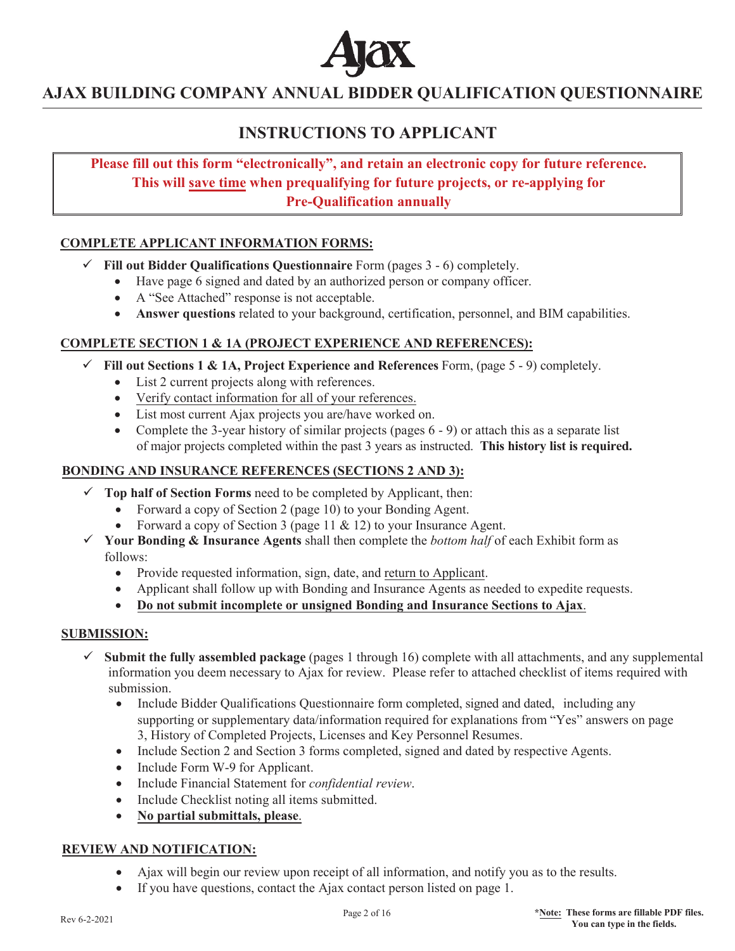

# **INSTRUCTIONS TO APPLICANT**

**Please fill out this form "electronically", and retain an electronic copy for future reference. This will save time when prequalifying for future projects, or re-applying for Pre-Oualification annually** 

### **COMPLETE APPLICANT INFORMATION FORMS:**

- 9 **Fill out Bidder Qualifications Questionnaire** Form (pages 3 6) completely.
	- Have page 6 signed and dated by an authorized person or company officer.
	- A "See Attached" response is not acceptable.
	- Answer questions related to your background, certification, personnel, and BIM capabilities.

### **COMPLETE SECTION 1 & 1A (PROJECT EXPERIENCE AND REFERENCES):**

- $\checkmark$  Fill out Sections 1 & 1A, Project Experience and References Form, (page 5 9) completely.
	- $\bullet$  List 2 current projects along with references.
	- Verify contact information for all of your references.
	- List most current Ajax projects you are/have worked on.
	- Complete the 3-year history of similar projects (pages  $6 9$ ) or attach this as a separate list of major projects completed within the past 3 years as instructed. **This history list is required.**

### **BONDING AND INSURANCE REFERENCES (SECTIONS 2 AND 3):**

- $\checkmark$  Top half of Section Forms need to be completed by Applicant, then:
	- Forward a copy of Section 2 (page 10) to your Bonding Agent.
	- Forward a copy of Section 3 (page  $11 \& 12$ ) to your Insurance Agent.
- 9 **Your Bonding & Insurance Agents** shall then complete the *bottom half* of each Exhibit form as follows:
	- Provide requested information, sign, date, and return to Applicant.
	- Applicant shall follow up with Bonding and Insurance Agents as needed to expedite requests.
	- Do not submit incomplete or unsigned Bonding and Insurance Sections to Ajax.

### **SUBMISSION:**

- $\checkmark$  **Submit the fully assembled package** (pages 1 through 16) complete with all attachments, and any supplemental information you deem necessary to Ajax for review. Please refer to attached checklist of items required with submission.
	- Include Bidder Qualifications Questionnaire form completed, signed and dated, including any supporting or supplementary data/information required for explanations from "Yes" answers on page 3, History of Completed Projects, Licenses and Key Personnel Resumes.
	- Include Section 2 and Section 3 forms completed, signed and dated by respective Agents.
	- $\bullet$  Include Form W-9 for Applicant.
	- x Include Financial Statement for *confidential review*.
	- Include Checklist noting all items submitted.
	- x **No partial submittals, please**.

### **REVIEW AND NOTIFICATION:**

- Ajax will begin our review upon receipt of all information, and notify you as to the results.
- $\bullet$  If you have questions, contact the Ajax contact person listed on page 1.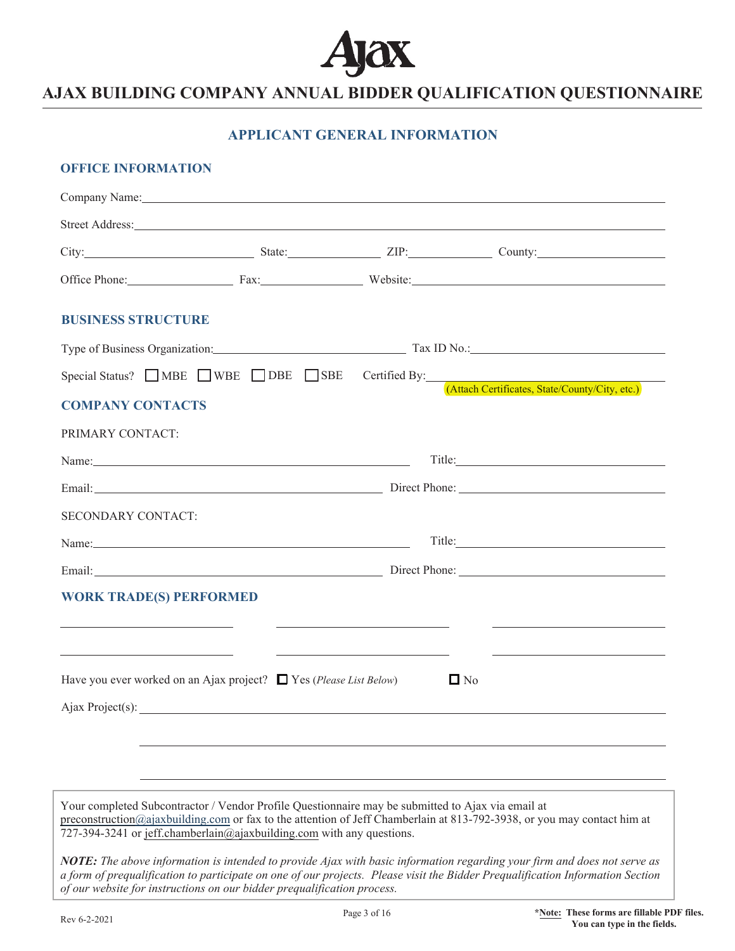

## **APPLICANT GENERAL INFORMATION**

### **OFFICE INFORMATION**

|                                | Company Name: No. 2014 19:30 and 2014 19:30 and 2014 19:30 and 2014 19:30 and 2014 19:30 and 2014 19:30 and 20                                                             |                                                                                                                      |                                                                                                                                                                                                                                                            |
|--------------------------------|----------------------------------------------------------------------------------------------------------------------------------------------------------------------------|----------------------------------------------------------------------------------------------------------------------|------------------------------------------------------------------------------------------------------------------------------------------------------------------------------------------------------------------------------------------------------------|
|                                |                                                                                                                                                                            |                                                                                                                      | Street Address: No. 2016. The Contract of the Contract of the Contract of the Contract of the Contract of the Contract of the Contract of the Contract of the Contract of the Contract of the Contract of the Contract of the                              |
|                                |                                                                                                                                                                            |                                                                                                                      | City: Current City: City: County: County: County: County: County: County: County: County: County: County: County: County: County: County: County: County: County: County: County: County: County: County: County: County: Coun                             |
|                                |                                                                                                                                                                            |                                                                                                                      | Office Phone: Fax: Fax: Website: Website:                                                                                                                                                                                                                  |
| <b>BUSINESS STRUCTURE</b>      |                                                                                                                                                                            |                                                                                                                      |                                                                                                                                                                                                                                                            |
|                                |                                                                                                                                                                            |                                                                                                                      | Type of Business Organization: Tax ID No.: Tax ID No.:                                                                                                                                                                                                     |
|                                |                                                                                                                                                                            |                                                                                                                      | Special Status? MBE WBE DBE SBE Certified By: (Attach Certificates, State/County/City, etc.)                                                                                                                                                               |
| <b>COMPANY CONTACTS</b>        |                                                                                                                                                                            |                                                                                                                      |                                                                                                                                                                                                                                                            |
| PRIMARY CONTACT:               |                                                                                                                                                                            |                                                                                                                      |                                                                                                                                                                                                                                                            |
|                                |                                                                                                                                                                            |                                                                                                                      | Title: Title:                                                                                                                                                                                                                                              |
|                                |                                                                                                                                                                            |                                                                                                                      |                                                                                                                                                                                                                                                            |
| SECONDARY CONTACT:             |                                                                                                                                                                            |                                                                                                                      |                                                                                                                                                                                                                                                            |
|                                |                                                                                                                                                                            |                                                                                                                      |                                                                                                                                                                                                                                                            |
|                                |                                                                                                                                                                            |                                                                                                                      | Email: Direct Phone: Direct Phone: 2008. [2013]                                                                                                                                                                                                            |
| <b>WORK TRADE(S) PERFORMED</b> |                                                                                                                                                                            |                                                                                                                      |                                                                                                                                                                                                                                                            |
|                                |                                                                                                                                                                            | <u> 2000 - Andrea Andrew Maria (h. 1878).</u>                                                                        |                                                                                                                                                                                                                                                            |
|                                |                                                                                                                                                                            | <u> Alexandria de la contrada de la contrada de la contrada de la contrada de la contrada de la contrada de la c</u> | <u> 1989 - Johann Stoff, deutscher Stoffen und der Stoffen und der Stoffen und der Stoffen und der Stoffen und der</u>                                                                                                                                     |
|                                | Have you ever worked on an Ajax project? $\Box$ Yes (Please List Below)                                                                                                    |                                                                                                                      | $\Box$ No                                                                                                                                                                                                                                                  |
|                                | Ajax Project(s):                                                                                                                                                           |                                                                                                                      |                                                                                                                                                                                                                                                            |
|                                |                                                                                                                                                                            |                                                                                                                      |                                                                                                                                                                                                                                                            |
|                                |                                                                                                                                                                            |                                                                                                                      |                                                                                                                                                                                                                                                            |
|                                |                                                                                                                                                                            |                                                                                                                      |                                                                                                                                                                                                                                                            |
|                                | Your completed Subcontractor / Vendor Profile Questionnaire may be submitted to Ajax via email at<br>727-394-3241 or jeff.chamberlain@ajaxbuilding.com with any questions. |                                                                                                                      | preconstruction@ajaxbuilding.com or fax to the attention of Jeff Chamberlain at 813-792-3938, or you may contact him at                                                                                                                                    |
|                                | of our website for instructions on our bidder prequalification process.                                                                                                    |                                                                                                                      | NOTE: The above information is intended to provide Ajax with basic information regarding your firm and does not serve as<br>a form of prequalification to participate on one of our projects. Please visit the Bidder Prequalification Information Section |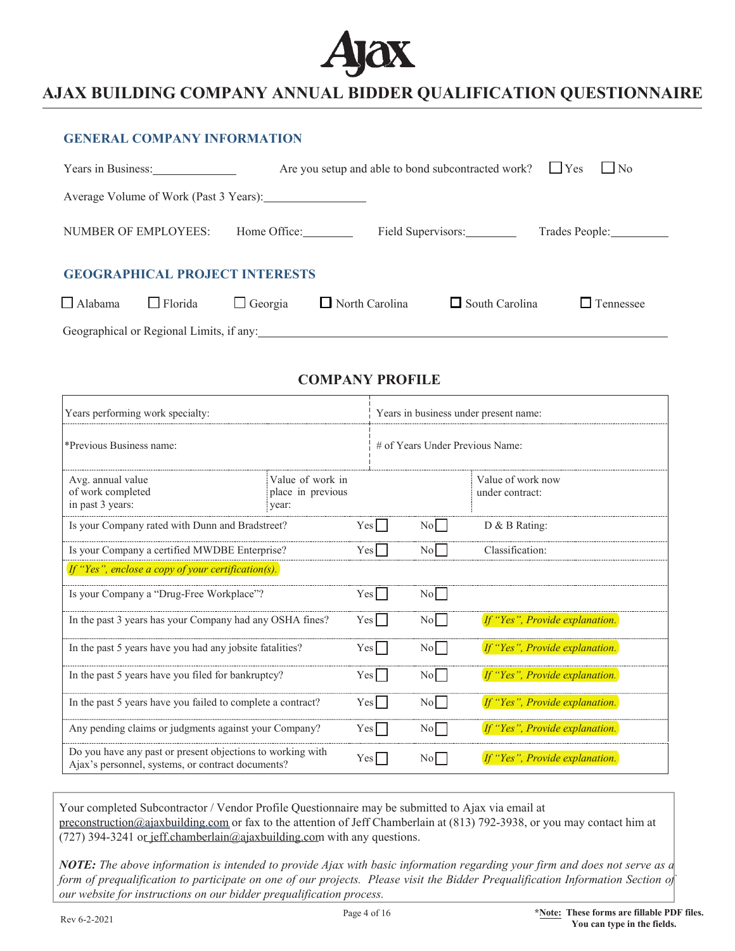

|                                                                                     | <b>GENERAL COMPANY INFORMATION</b> |                                                                                                                |                                                                         |                       |                  |  |
|-------------------------------------------------------------------------------------|------------------------------------|----------------------------------------------------------------------------------------------------------------|-------------------------------------------------------------------------|-----------------------|------------------|--|
|                                                                                     | Years in Business:                 |                                                                                                                | Are you setup and able to bond subcontracted work? $\Box$ Yes $\Box$ No |                       |                  |  |
|                                                                                     |                                    | Average Volume of Work (Past 3 Years): 11 11 22 22 23 24 25 26 27 28 29 29 20 20 21 22 22 23 24 25 26 27 27 28 |                                                                         |                       |                  |  |
| <b>NUMBER OF EMPLOYEES:</b><br>Field Supervisors:<br>Home Office:<br>Trades People: |                                    |                                                                                                                |                                                                         |                       |                  |  |
| <b>GEOGRAPHICAL PROJECT INTERESTS</b>                                               |                                    |                                                                                                                |                                                                         |                       |                  |  |
| $\Box$ Alabama                                                                      | $\Box$ Florida                     | $\Box$ Georgia                                                                                                 | North Carolina                                                          | $\Box$ South Carolina | $\Box$ Tennessee |  |

Geographical or Regional Limits, if any:

## **COMPANY PROFILE**

| Years performing work specialty:                                                                                |                                                |       | Years in business under present name: |                  |                                      |  |
|-----------------------------------------------------------------------------------------------------------------|------------------------------------------------|-------|---------------------------------------|------------------|--------------------------------------|--|
| *Previous Business name:                                                                                        |                                                |       | # of Years Under Previous Name:       |                  |                                      |  |
| Avg. annual value<br>of work completed<br>in past 3 years:                                                      | Value of work in<br>place in previous<br>vear: |       |                                       |                  | Value of work now<br>under contract: |  |
| Is your Company rated with Dunn and Bradstreet?                                                                 |                                                | Yesl  |                                       | No.              | D & B Rating:                        |  |
| Is your Company a certified MWDBE Enterprise?                                                                   |                                                | Yes   |                                       | $\rm{No}$        | Classification:                      |  |
| If "Yes", enclose a copy of your certification(s).                                                              |                                                |       |                                       |                  |                                      |  |
| Is your Company a "Drug-Free Workplace"?                                                                        |                                                | Yes   |                                       | $\overline{N_0}$ |                                      |  |
| In the past 3 years has your Company had any OSHA fines?                                                        |                                                | Yes   |                                       | $\overline{N_0}$ | If "Yes", Provide explanation.       |  |
| In the past 5 years have you had any jobsite fatalities?                                                        |                                                | Yes   |                                       | $\text{No}$      | If "Yes", Provide explanation.       |  |
| In the past 5 years have you filed for bankruptcy?                                                              |                                                | Yes   |                                       | No.              | If "Yes", Provide explanation.       |  |
| In the past 5 years have you failed to complete a contract?                                                     |                                                | Yesl  |                                       | $\text{No}$      | If "Yes", Provide explanation.       |  |
| Any pending claims or judgments against your Company?                                                           |                                                | Yes l |                                       | No.              | If "Yes", Provide explanation.       |  |
| Do you have any past or present objections to working with<br>Ajax's personnel, systems, or contract documents? |                                                | Yes   |                                       | N <sub>o</sub>   | If "Yes", Provide explanation.       |  |

Your completed Subcontractor / Vendor Profile Questionnaire may be submitted to Ajax via email at preconstruction@aiaxbuilding.com or fax to the attention of Jeff Chamberlain at (813) 792-3938, or you may contact him at (727) 394-3241 or jeff.chamberlain@ajaxbuilding.com with any questions.

*NOTE: The above information is intended to provide Ajax with basic information regarding your firm and does not serve as a form of prequalification to participate on one of our projects. Please visit the Bidder Prequalification Information Section of our website for instructions on our bidder prequalification process.*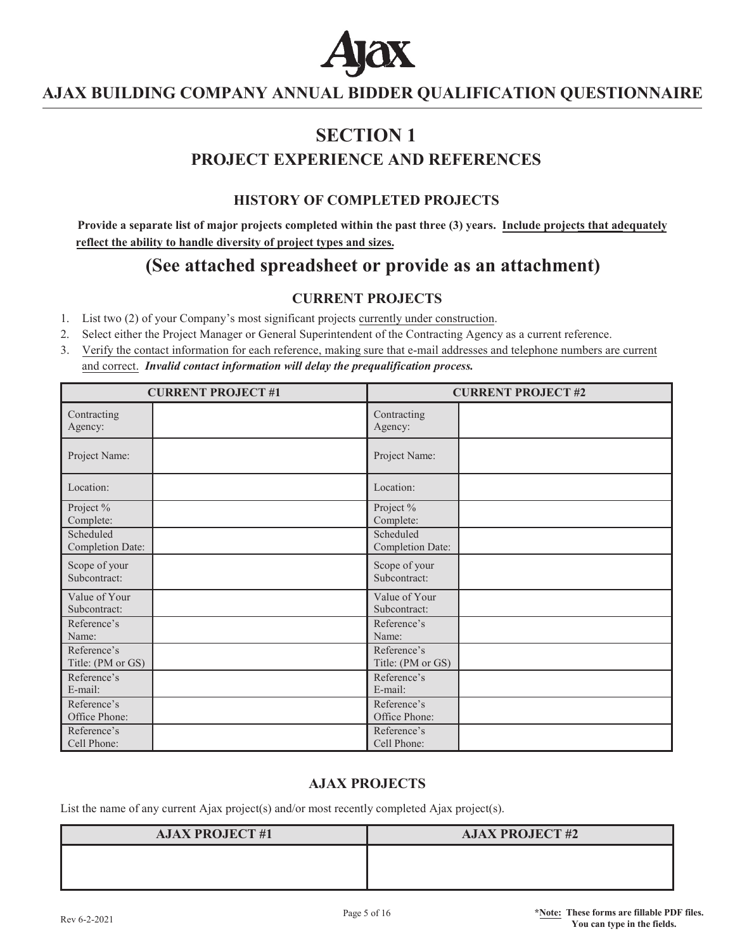

# **6SECTION**<sub>1</sub> **PROJECT EXPERIENCE AND REFERENCES**

## **HISTORY OF COMPLETED PROJECTS**

**Provide a separate list of major projects completed within the past three (3) years. Include projects that adequately reflect the ability to handle diversity of project types and sizes.** 

# **(See attached spreadsheet or provide as an attachment)**

### **CURRENT PROJECTS**

- List two (2) of your Company's most significant projects currently under construction.
- Select either the Project Manager or General Superintendent of the Contracting Agency as a current reference.
- Verify the contact information for each reference, making sure that e-mail addresses and telephone numbers are current and correct. *Invalid contact information will delay the prequalification process.*

|                                      | <b>CURRENT PROJECT#1</b> | <b>CURRENT PROJECT #2</b>        |  |  |
|--------------------------------------|--------------------------|----------------------------------|--|--|
| Contracting<br>Agency:               |                          | Contracting<br>Agency:           |  |  |
| Project Name:                        |                          | Project Name:                    |  |  |
| Location:                            |                          | Location:                        |  |  |
| Project %<br>Complete:               |                          | Project %<br>Complete:           |  |  |
| Scheduled<br><b>Completion Date:</b> |                          | Scheduled<br>Completion Date:    |  |  |
| Scope of your<br>Subcontract:        |                          | Scope of your<br>Subcontract:    |  |  |
| Value of Your<br>Subcontract:        |                          | Value of Your<br>Subcontract:    |  |  |
| Reference's<br>Name:                 |                          | Reference's<br>Name:             |  |  |
| Reference's<br>Title: (PM or GS)     |                          | Reference's<br>Title: (PM or GS) |  |  |
| Reference's<br>E-mail:               |                          | Reference's<br>E-mail:           |  |  |
| Reference's<br>Office Phone:         |                          | Reference's<br>Office Phone:     |  |  |
| Reference's<br>Cell Phone:           |                          | Reference's<br>Cell Phone:       |  |  |

### **AJAX PROJECTS**

List the name of any current Ajax project(s) and/or most recently completed Ajax project(s).

| <b>AJAX PROJECT #1</b> | <b>AJAX PROJECT #2</b> |
|------------------------|------------------------|
|                        |                        |
|                        |                        |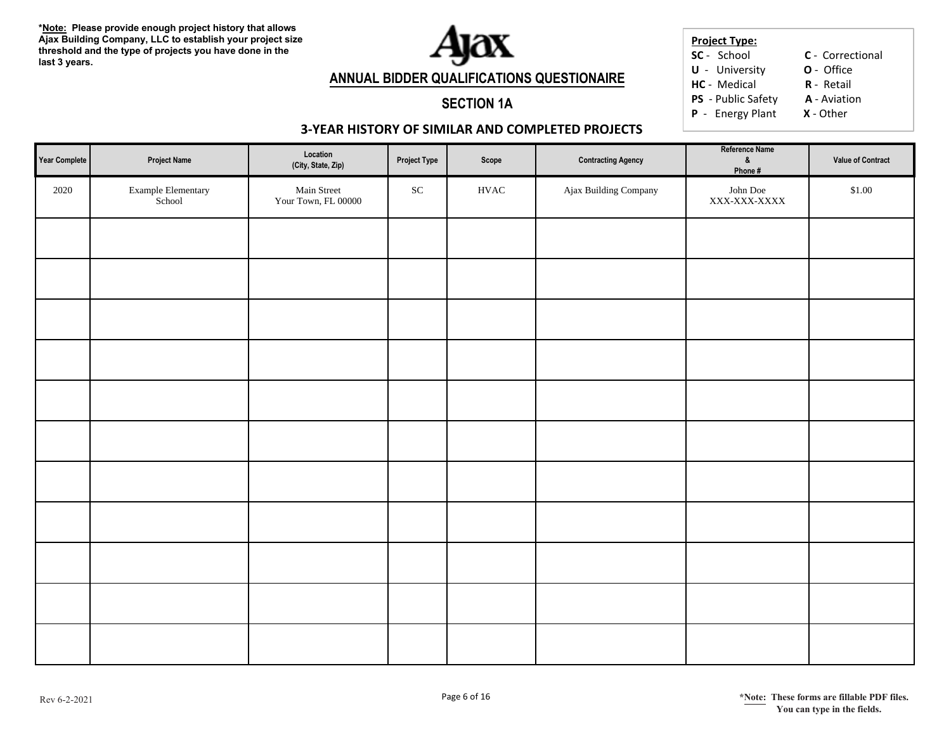

#### **Project Type: SC** - School

**C** - Correctional

**U** - University **O** - Office

**HC** - Medical **R**R - Retail

**PS** - Public Safety **A** - Aviation

**P** - Energy Plant **X** - Other

## **SECTION 1A**

**ANNUAL BIDDER QUALIFICATIONS QUESTIONAIRE**

## **3-YEAR HISTORY OF SIMILAR AND COMPLETED PROJECTS**

| Year Complete | <b>Project Name</b>          | Location<br>(City, State, Zip)     | <b>Project Type</b> | Scope        | <b>Contracting Agency</b> | Reference Name<br>&<br>Phone # | Value of Contract |
|---------------|------------------------------|------------------------------------|---------------------|--------------|---------------------------|--------------------------------|-------------------|
| 2020          | Example Elementary<br>School | Main Street<br>Your Town, FL 00000 | ${\rm SC}$          | ${\rm HVAC}$ | Ajax Building Company     | John Doe<br>XXX-XXX-XXXX       | \$1.00            |
|               |                              |                                    |                     |              |                           |                                |                   |
|               |                              |                                    |                     |              |                           |                                |                   |
|               |                              |                                    |                     |              |                           |                                |                   |
|               |                              |                                    |                     |              |                           |                                |                   |
|               |                              |                                    |                     |              |                           |                                |                   |
|               |                              |                                    |                     |              |                           |                                |                   |
|               |                              |                                    |                     |              |                           |                                |                   |
|               |                              |                                    |                     |              |                           |                                |                   |
|               |                              |                                    |                     |              |                           |                                |                   |
|               |                              |                                    |                     |              |                           |                                |                   |
|               |                              |                                    |                     |              |                           |                                |                   |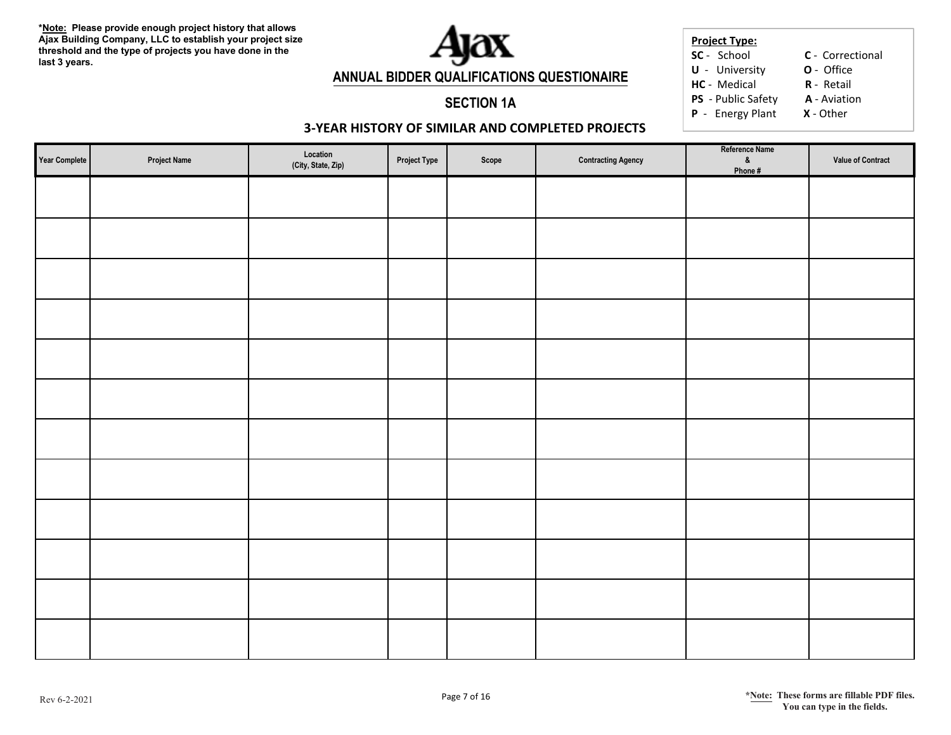

#### **Project Type: SC** - School

**C** - Correctional

**U** - University **O** - Office

**HC** - Medical **R**R - Retail

**P** - Energy Plant **X** - Other

### **3-YEAR HISTORY OF SIMILAR AND COMPLETED PROJECTS**

**SECTION 1A**

| Year Complete | <b>Project Name</b> | Location<br>(City, State, Zip) | <b>Project Type</b> | Scope | <b>Contracting Agency</b> | Reference Name<br>$\pmb{\&}$<br>Phone# | Value of Contract |
|---------------|---------------------|--------------------------------|---------------------|-------|---------------------------|----------------------------------------|-------------------|
|               |                     |                                |                     |       |                           |                                        |                   |
|               |                     |                                |                     |       |                           |                                        |                   |
|               |                     |                                |                     |       |                           |                                        |                   |
|               |                     |                                |                     |       |                           |                                        |                   |
|               |                     |                                |                     |       |                           |                                        |                   |
|               |                     |                                |                     |       |                           |                                        |                   |
|               |                     |                                |                     |       |                           |                                        |                   |
|               |                     |                                |                     |       |                           |                                        |                   |
|               |                     |                                |                     |       |                           |                                        |                   |
|               |                     |                                |                     |       |                           |                                        |                   |
|               |                     |                                |                     |       |                           |                                        |                   |
|               |                     |                                |                     |       |                           |                                        |                   |

**PS** - Public Safety **A** - Aviation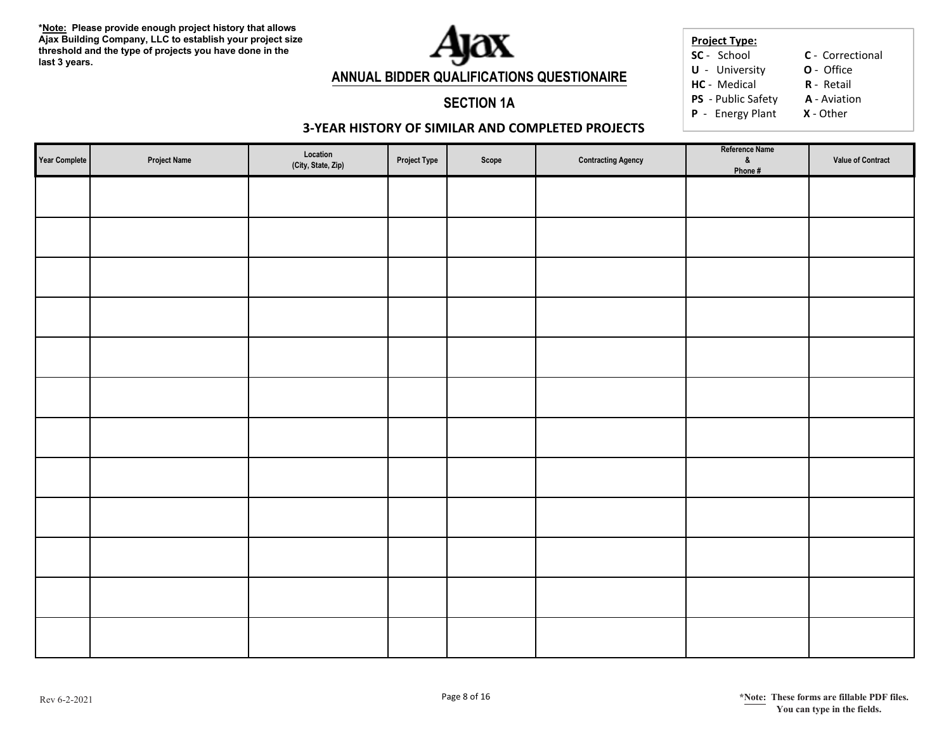

#### **Project Type: SC** - School

**C** - Correctional

**U** - University **O** - Office

**HC** - Medical **R**R - Retail

**PS** - Public Safety **A** - Aviation

**P** - Energy Plant **X** - Other

### **3-YEAR HISTORY OF SIMILAR AND COMPLETED PROJECTS**

**SECTION 1A**

| Year Complete | <b>Project Name</b> | $\textbf{Location} % \begin{center} % \includegraphics[width=\textwidth]{images/Example_14} \caption{The image shows a function of the number of times, and the number of times, and the number of times, are indicated with the number of times, and the number of times, are indicated with the number of times, and the number of times, are indicated with the number of times, and the number of times, are indicated with the number of times, and the number of times, are indicated with the number of times, and the number of times, are indicated with the number of times, and the number of times, are indicated with the number of times, and the number of times, are indicated with the number of times, and the number of times, are indicated with the number of times, and the number of times, are indicated with the number of times, and the number of times, are indicated with the number of times, and the number of times, are indicated with the number of times, and the number$<br>(City, State, Zip) | <b>Project Type</b> | Scope | <b>Contracting Agency</b> | Reference Name<br>$8$<br>Phone # | Value of Contract |
|---------------|---------------------|------------------------------------------------------------------------------------------------------------------------------------------------------------------------------------------------------------------------------------------------------------------------------------------------------------------------------------------------------------------------------------------------------------------------------------------------------------------------------------------------------------------------------------------------------------------------------------------------------------------------------------------------------------------------------------------------------------------------------------------------------------------------------------------------------------------------------------------------------------------------------------------------------------------------------------------------------------------------------------------------------------------------------------|---------------------|-------|---------------------------|----------------------------------|-------------------|
|               |                     |                                                                                                                                                                                                                                                                                                                                                                                                                                                                                                                                                                                                                                                                                                                                                                                                                                                                                                                                                                                                                                    |                     |       |                           |                                  |                   |
|               |                     |                                                                                                                                                                                                                                                                                                                                                                                                                                                                                                                                                                                                                                                                                                                                                                                                                                                                                                                                                                                                                                    |                     |       |                           |                                  |                   |
|               |                     |                                                                                                                                                                                                                                                                                                                                                                                                                                                                                                                                                                                                                                                                                                                                                                                                                                                                                                                                                                                                                                    |                     |       |                           |                                  |                   |
|               |                     |                                                                                                                                                                                                                                                                                                                                                                                                                                                                                                                                                                                                                                                                                                                                                                                                                                                                                                                                                                                                                                    |                     |       |                           |                                  |                   |
|               |                     |                                                                                                                                                                                                                                                                                                                                                                                                                                                                                                                                                                                                                                                                                                                                                                                                                                                                                                                                                                                                                                    |                     |       |                           |                                  |                   |
|               |                     |                                                                                                                                                                                                                                                                                                                                                                                                                                                                                                                                                                                                                                                                                                                                                                                                                                                                                                                                                                                                                                    |                     |       |                           |                                  |                   |
|               |                     |                                                                                                                                                                                                                                                                                                                                                                                                                                                                                                                                                                                                                                                                                                                                                                                                                                                                                                                                                                                                                                    |                     |       |                           |                                  |                   |
|               |                     |                                                                                                                                                                                                                                                                                                                                                                                                                                                                                                                                                                                                                                                                                                                                                                                                                                                                                                                                                                                                                                    |                     |       |                           |                                  |                   |
|               |                     |                                                                                                                                                                                                                                                                                                                                                                                                                                                                                                                                                                                                                                                                                                                                                                                                                                                                                                                                                                                                                                    |                     |       |                           |                                  |                   |
|               |                     |                                                                                                                                                                                                                                                                                                                                                                                                                                                                                                                                                                                                                                                                                                                                                                                                                                                                                                                                                                                                                                    |                     |       |                           |                                  |                   |
|               |                     |                                                                                                                                                                                                                                                                                                                                                                                                                                                                                                                                                                                                                                                                                                                                                                                                                                                                                                                                                                                                                                    |                     |       |                           |                                  |                   |
|               |                     |                                                                                                                                                                                                                                                                                                                                                                                                                                                                                                                                                                                                                                                                                                                                                                                                                                                                                                                                                                                                                                    |                     |       |                           |                                  |                   |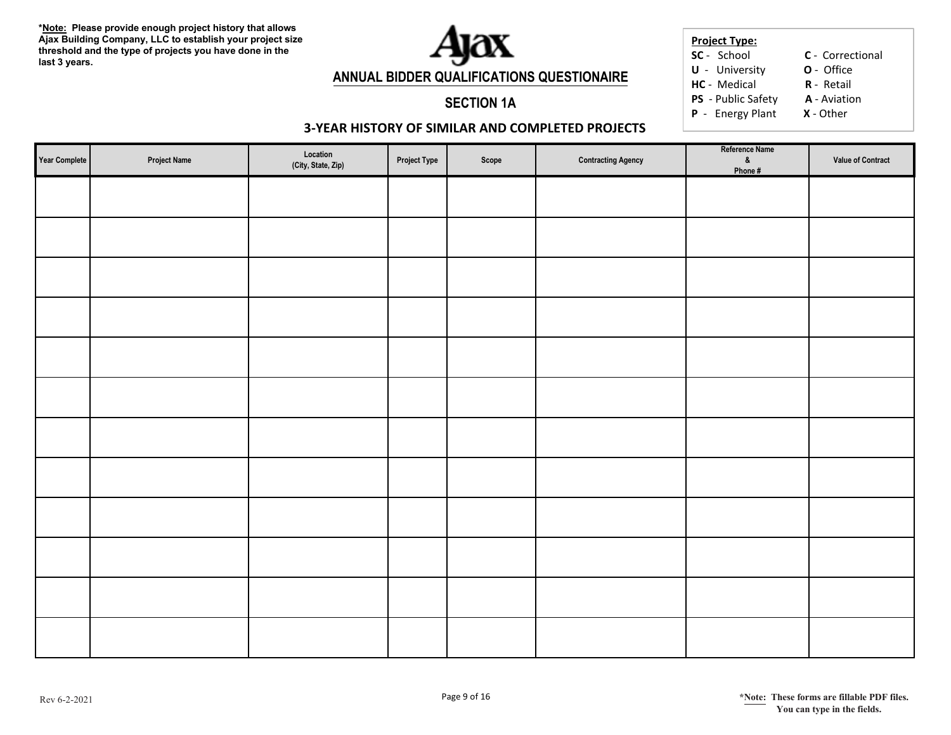

#### **Project Type: SC** - School

**C** - Correctional

**U** - University **O** - Office

**HC** - Medical **R**R - Retail

**PS** - Public Safety **A** - Aviation

**P** - Energy Plant **X** - Other

### **3-YEAR HISTORY OF SIMILAR AND COMPLETED PROJECTS**

**SECTION 1A**

| Year Complete | <b>Project Name</b> | Location<br>(City, State, Zip) | <b>Project Type</b> | Scope | <b>Contracting Agency</b> | Reference Name<br>$8$<br>Phone # | Value of Contract |
|---------------|---------------------|--------------------------------|---------------------|-------|---------------------------|----------------------------------|-------------------|
|               |                     |                                |                     |       |                           |                                  |                   |
|               |                     |                                |                     |       |                           |                                  |                   |
|               |                     |                                |                     |       |                           |                                  |                   |
|               |                     |                                |                     |       |                           |                                  |                   |
|               |                     |                                |                     |       |                           |                                  |                   |
|               |                     |                                |                     |       |                           |                                  |                   |
|               |                     |                                |                     |       |                           |                                  |                   |
|               |                     |                                |                     |       |                           |                                  |                   |
|               |                     |                                |                     |       |                           |                                  |                   |
|               |                     |                                |                     |       |                           |                                  |                   |
|               |                     |                                |                     |       |                           |                                  |                   |
|               |                     |                                |                     |       |                           |                                  |                   |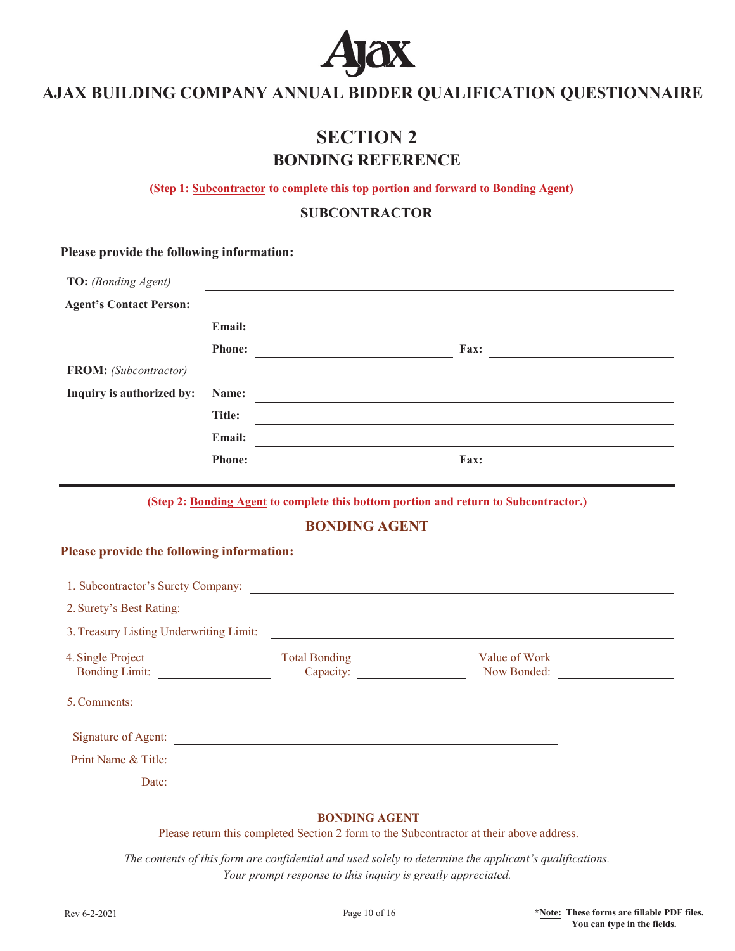

# **SECTION 2 BONDING REFERENCE**

**(Step 1: Subcontractor to complete this top portion and forward to Bonding Agent)** 

**SUBCONTRACTOR**

### **Please provide the following information:**

| TO: (Bonding Agent)            |               |      |  |
|--------------------------------|---------------|------|--|
| <b>Agent's Contact Person:</b> |               |      |  |
|                                | Email:        |      |  |
|                                | <b>Phone:</b> | Fax: |  |
| FROM: (Subcontractor)          |               |      |  |
| Inquiry is authorized by:      | Name:         |      |  |
|                                | Title:        |      |  |
|                                | Email:        |      |  |
|                                | <b>Phone:</b> | Fax: |  |
|                                |               |      |  |

**(Step 2: Bonding Agent to complete this bottom portion and return to Subcontractor.)**

**BONDING AGENT**

### **Please provide the following information:**

| 2. Surety's Best Rating:                | <u> 1980 - Andrea State Barbara, amerikan personal di sebagai personal di sebagai personal di sebagai personal d</u> |                                                              |  |
|-----------------------------------------|----------------------------------------------------------------------------------------------------------------------|--------------------------------------------------------------|--|
| 3. Treasury Listing Underwriting Limit: |                                                                                                                      | <u> 1989 - Johann Stein, mars and de Brazilian (b. 1989)</u> |  |
| 4. Single Project                       | <b>Total Bonding</b><br>Capacity:                                                                                    | Value of Work<br>Now Bonded:                                 |  |
| 5. Comments:                            |                                                                                                                      |                                                              |  |
| Signature of Agent:                     |                                                                                                                      |                                                              |  |
| Print Name & Title:                     |                                                                                                                      |                                                              |  |
| Date:                                   |                                                                                                                      |                                                              |  |

#### **BONDING AGENT**

Please return this completed Section 2 form to the Subcontractor at their above address.

*The contents of this form are confidential and used solely to determine the applicant's qualifications. Your prompt response to this inquiry is greatly appreciated.*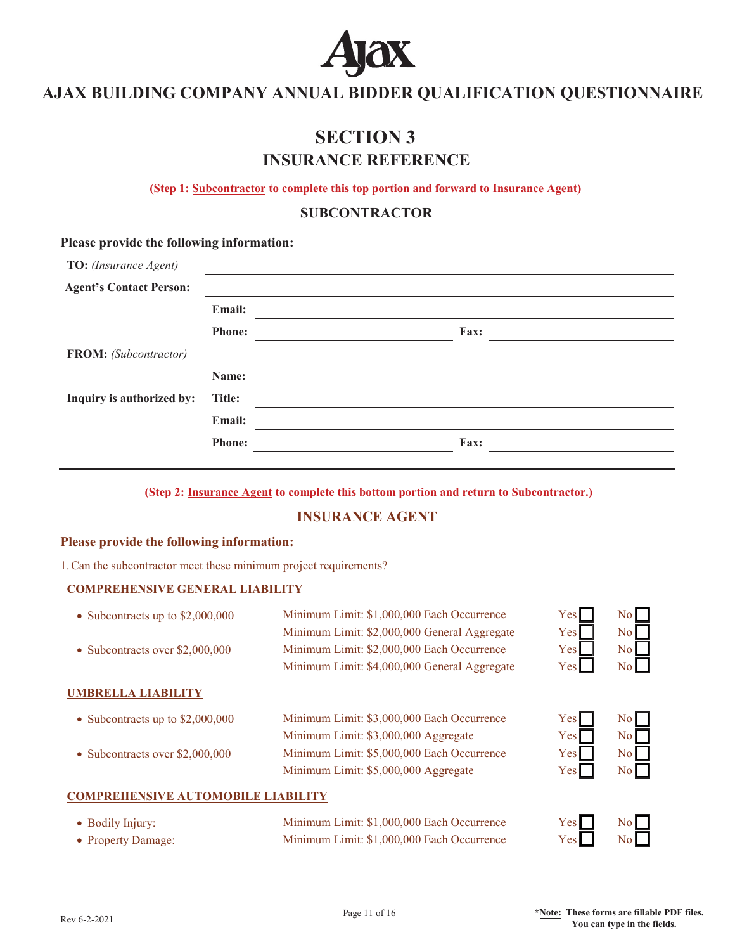

# **SECTION 3 INSURANCE REFERENCE**

**(Step 1: Subcontractor to complete this top portion and forward to Insurance Agent)** 

**SUBCONTRACTOR**

#### **Please provide the following information:**

| TO: (Insurance Agent)          |               |      |  |
|--------------------------------|---------------|------|--|
| <b>Agent's Contact Person:</b> |               |      |  |
|                                | Email:        |      |  |
|                                | <b>Phone:</b> | Fax: |  |
| <b>FROM:</b> (Subcontractor)   |               |      |  |
|                                | Name:         |      |  |
| Inquiry is authorized by:      | Title:        |      |  |
|                                | Email:        |      |  |
|                                | <b>Phone:</b> | Fax: |  |
|                                |               |      |  |

**(Step 2: Insurance Agent to complete this bottom portion and return to Subcontractor.)**

### **INSURANCE AGENT**

### **Please provide the following information:**

1. Can the subcontractor meet these minimum project requirements?

#### **COMPREHENSIVE GENERAL LIABILITY**

| • Subcontracts up to $$2,000,000$      | Minimum Limit: \$1,000,000 Each Occurrence<br>Minimum Limit: \$2,000,000 General Aggregate | Yes <sup>1</sup><br>Yesl | No<br>No         |
|----------------------------------------|--------------------------------------------------------------------------------------------|--------------------------|------------------|
| • Subcontracts <u>over</u> \$2,000,000 | Minimum Limit: \$2,000,000 Each Occurrence<br>Minimum Limit: \$4,000,000 General Aggregate | Yes<br>Yesl              | No<br>No         |
| <b>UMBRELLA LIABILITY</b>              |                                                                                            |                          |                  |
| • Subcontracts up to $$2,000,000$      | Minimum Limit: \$3,000,000 Each Occurrence                                                 | Yes <sub>l</sub>         | No               |
|                                        | Minimum Limit: \$3,000,000 Aggregate                                                       | Yesl                     | No               |
| • Subcontracts over \$2,000,000        | Minimum Limit: \$5,000,000 Each Occurrence                                                 | Yes <sup>1</sup>         | $\overline{N_0}$ |
|                                        | Minimum Limit: \$5,000,000 Aggregate                                                       | Yes <sub>l</sub>         | No.              |

### **COMPREHENSIVE AUTOMOBILE LIABILITY**

| • Bodily Injury:   | Minimum Limit: \$1,000,000 Each Occurrence | $Yes \Box$ | No |
|--------------------|--------------------------------------------|------------|----|
| • Property Damage: | Minimum Limit: \$1,000,000 Each Occurrence | Yes        | No |

Rev 6-2-2021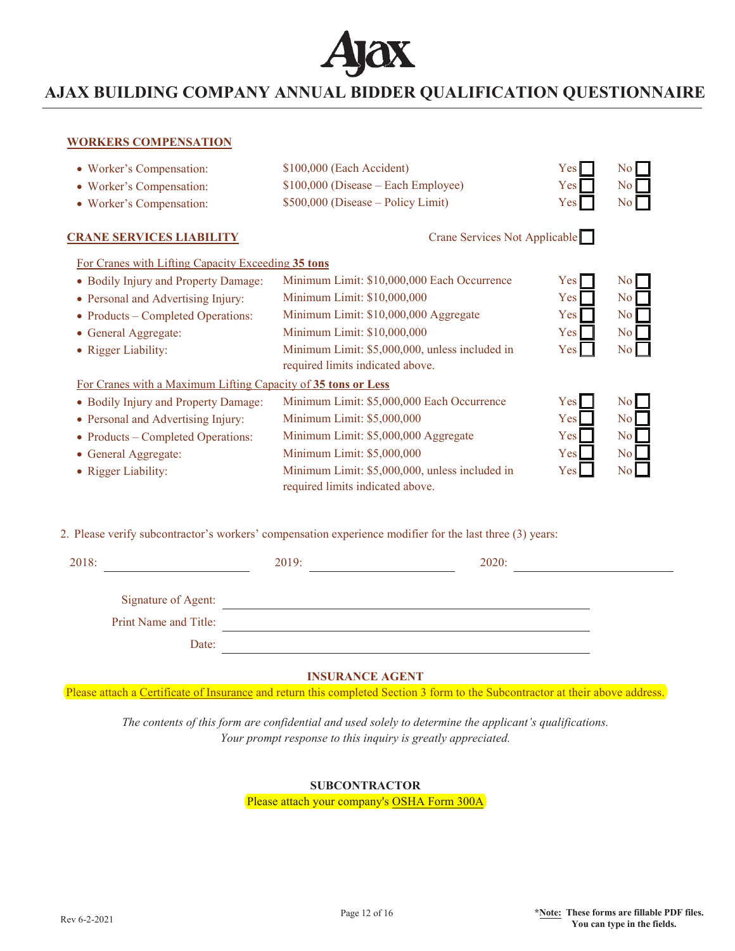

#### **WORKERS COMPENSATION**

| • Worker's Compensation:                                      | \$100,000 (Each Accident)                                                          | Yes              | N <sub>o</sub> |  |
|---------------------------------------------------------------|------------------------------------------------------------------------------------|------------------|----------------|--|
| • Worker's Compensation:                                      | \$100,000 (Disease – Each Employee)                                                | <b>Yes</b>       | N <sub>o</sub> |  |
| • Worker's Compensation:                                      | \$500,000 (Disease - Policy Limit)                                                 | Yes <sup> </sup> | No             |  |
| <b>CRANE SERVICES LIABILITY</b>                               | Crane Services Not Applicable                                                      |                  |                |  |
| For Cranes with Lifting Capacity Exceeding 35 tons            |                                                                                    |                  |                |  |
| • Bodily Injury and Property Damage:                          | Minimum Limit: \$10,000,000 Each Occurrence                                        | Yes              | No             |  |
| • Personal and Advertising Injury:                            | Minimum Limit: \$10,000,000                                                        | Yes              | N <sub>o</sub> |  |
| • Products – Completed Operations:                            | Minimum Limit: \$10,000,000 Aggregate                                              | Yes <sup> </sup> | N <sub>o</sub> |  |
| • General Aggregate:                                          | Minimum Limit: \$10,000,000                                                        | Yes <sup> </sup> | N <sub>o</sub> |  |
| • Rigger Liability:                                           | Minimum Limit: \$5,000,000, unless included in<br>required limits indicated above. | Yes              | N <sub>o</sub> |  |
| For Cranes with a Maximum Lifting Capacity of 35 tons or Less |                                                                                    |                  |                |  |
| • Bodily Injury and Property Damage:                          | Minimum Limit: \$5,000,000 Each Occurrence                                         | Yes <sup>1</sup> | N <sub>o</sub> |  |
| • Personal and Advertising Injury:                            | Minimum Limit: \$5,000,000                                                         | Yes              | N <sub>o</sub> |  |
| • Products – Completed Operations:                            | Minimum Limit: \$5,000,000 Aggregate                                               | Yes <sup>1</sup> | No             |  |
| • General Aggregate:                                          | Minimum Limit: \$5,000,000                                                         | Yes              | N <sub>o</sub> |  |
| • Rigger Liability:                                           | Minimum Limit: \$5,000,000, unless included in<br>required limits indicated above. | Yes              | N <sub>o</sub> |  |
|                                                               |                                                                                    |                  |                |  |

2. Please verify subcontractor's workers' compensation experience modifier for the last three (3) years:

| 2018:                 | 2019: | 2020: |  |
|-----------------------|-------|-------|--|
|                       |       |       |  |
| Signature of Agent:   |       |       |  |
| Print Name and Title: |       |       |  |
| Date:                 |       |       |  |

#### **INSURANCE AGENT**

Please attach a Certificate of Insurance and return this completed Section 3 form to the Subcontractor at their above address.

*The contents of this form are confidential and used solely to determine the applicant's qualifications. Your prompt response to this inquiry is greatly appreciated.*

### **SUBCONTRACTOR**

Please attach your company's OSHA Form 300A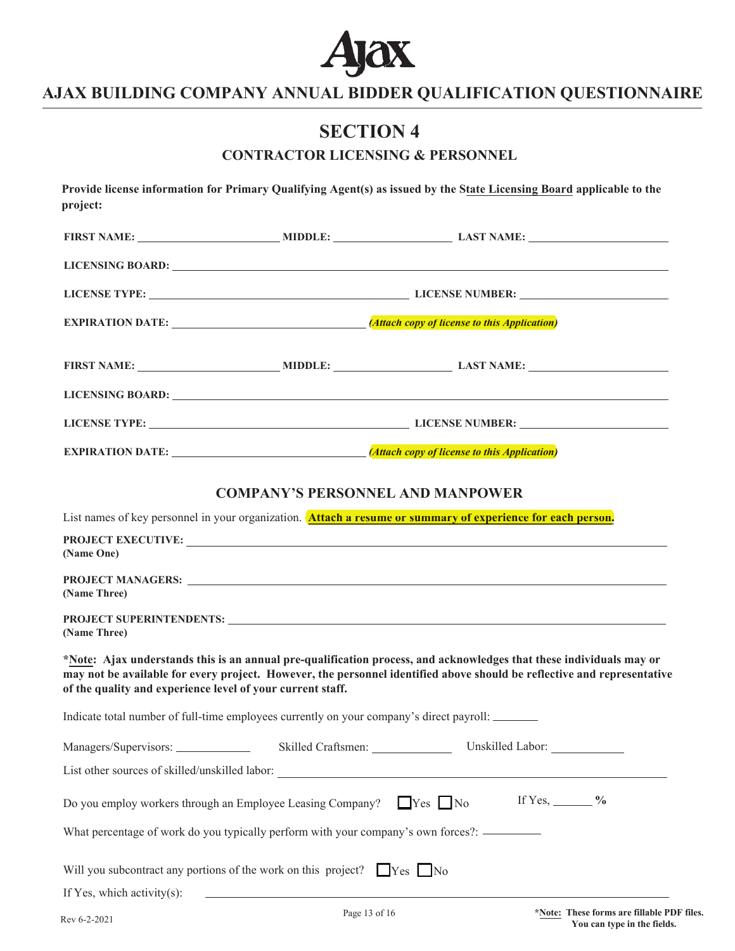

# **SECTION 4**

## **CONTRACTOR LICENSING & PERSONNEL**

|                                                                                     | <b>EXPIRATION DATE:</b> <i>(Attach copy of license to this Application)</i>                                                                                                                                                                    |
|-------------------------------------------------------------------------------------|------------------------------------------------------------------------------------------------------------------------------------------------------------------------------------------------------------------------------------------------|
|                                                                                     |                                                                                                                                                                                                                                                |
|                                                                                     | LICENSING BOARD: New York CONSUMER SERVICE SERVICE SERVICE SERVICE SERVICE SERVICE SERVICE SERVICE SERVICE SERVICE SERVICE SERVICE SERVICE SERVICE SERVICE SERVICE SERVICE SERVICE SERVICE SERVICE SERVICE SERVICE SERVICE SER                 |
|                                                                                     |                                                                                                                                                                                                                                                |
|                                                                                     |                                                                                                                                                                                                                                                |
|                                                                                     | <b>COMPANY'S PERSONNEL AND MANPOWER</b>                                                                                                                                                                                                        |
|                                                                                     | List names of key personnel in your organization. <b>Attach a resume or summary of experience for each person.</b>                                                                                                                             |
| (Name One)                                                                          | PROJECT EXECUTIVE:                                                                                                                                                                                                                             |
| (Name Three)                                                                        |                                                                                                                                                                                                                                                |
| (Name Three)                                                                        |                                                                                                                                                                                                                                                |
| of the quality and experience level of your current staff.                          | *Note: Ajax understands this is an annual pre-qualification process, and acknowledges that these individuals may or<br>may not be available for every project. However, the personnel identified above should be reflective and representative |
|                                                                                     | Indicate total number of full-time employees currently on your company's direct payroll:                                                                                                                                                       |
| Managers/Supervisors: _______________                                               |                                                                                                                                                                                                                                                |
|                                                                                     |                                                                                                                                                                                                                                                |
| Do you employ workers through an Employee Leasing Company?                          | If Yes, $\_\_\_\_\_\_\$<br>$\Box$ Yes $\Box$ No                                                                                                                                                                                                |
|                                                                                     | What percentage of work do you typically perform with your company's own forces?: __________                                                                                                                                                   |
| Will you subcontract any portions of the work on this project? $\Box$ Yes $\Box$ No |                                                                                                                                                                                                                                                |
| If Yes, which activity $(s)$ :                                                      |                                                                                                                                                                                                                                                |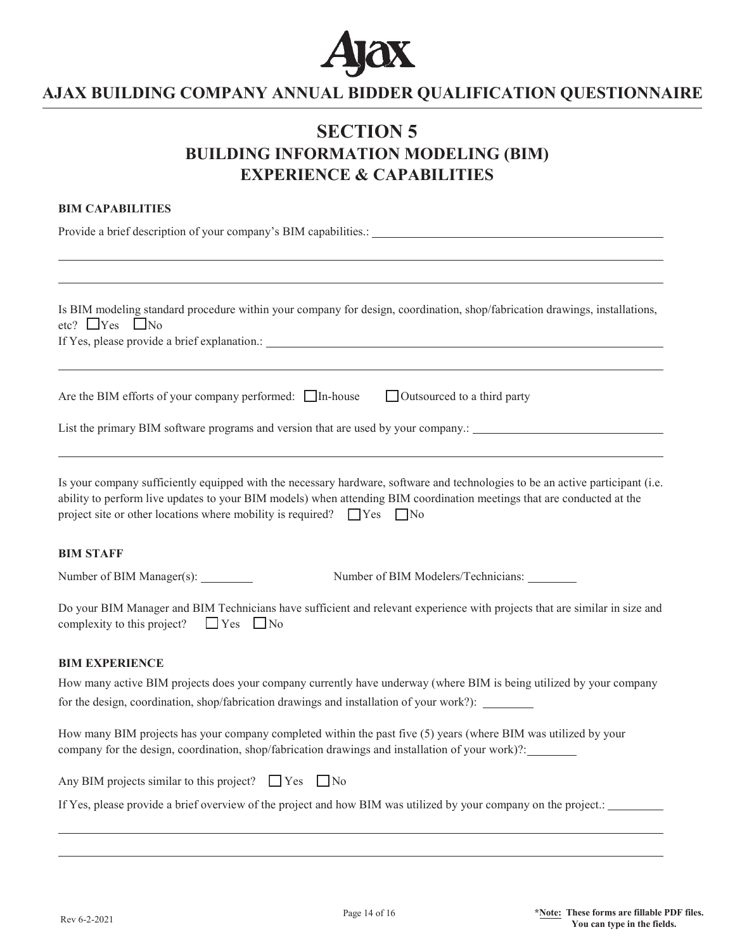

# **SECTION 5 BUILDING INFORMATION MODELING (BIM) EXPERIENCE & CAPABILITIES**

### **BIM CAPABILITIES**

Provide a brief description of your company's BIM capabilities.:

| Is BIM modeling standard procedure within your company for design, coordination, shop/fabrication drawings, installations,<br>etc? $\Box$ Yes $\Box$ No                                                                                                                                                                                      |
|----------------------------------------------------------------------------------------------------------------------------------------------------------------------------------------------------------------------------------------------------------------------------------------------------------------------------------------------|
| Are the BIM efforts of your company performed: □ In-house<br>$\Box$ Outsourced to a third party                                                                                                                                                                                                                                              |
| List the primary BIM software programs and version that are used by your company.: _________________                                                                                                                                                                                                                                         |
| Is your company sufficiently equipped with the necessary hardware, software and technologies to be an active participant (i.e.<br>ability to perform live updates to your BIM models) when attending BIM coordination meetings that are conducted at the<br>project site or other locations where mobility is required? $\Box$ Yes $\Box$ No |
| <b>BIM STAFF</b>                                                                                                                                                                                                                                                                                                                             |
| Number of BIM Manager(s): ________<br>Number of BIM Modelers/Technicians:                                                                                                                                                                                                                                                                    |
| Do your BIM Manager and BIM Technicians have sufficient and relevant experience with projects that are similar in size and<br>complexity to this project?<br>$\Box$ Yes $\Box$ No                                                                                                                                                            |
| <b>BIM EXPERIENCE</b>                                                                                                                                                                                                                                                                                                                        |
| How many active BIM projects does your company currently have underway (where BIM is being utilized by your company                                                                                                                                                                                                                          |
| for the design, coordination, shop/fabrication drawings and installation of your work?): _______                                                                                                                                                                                                                                             |
| How many BIM projects has your company completed within the past five (5) years (where BIM was utilized by your<br>company for the design, coordination, shop/fabrication drawings and installation of your work)?: _______                                                                                                                  |
| Any BIM projects similar to this project? $\Box$ Yes $\Box$ No                                                                                                                                                                                                                                                                               |
| If Yes, please provide a brief overview of the project and how BIM was utilized by your company on the project.:                                                                                                                                                                                                                             |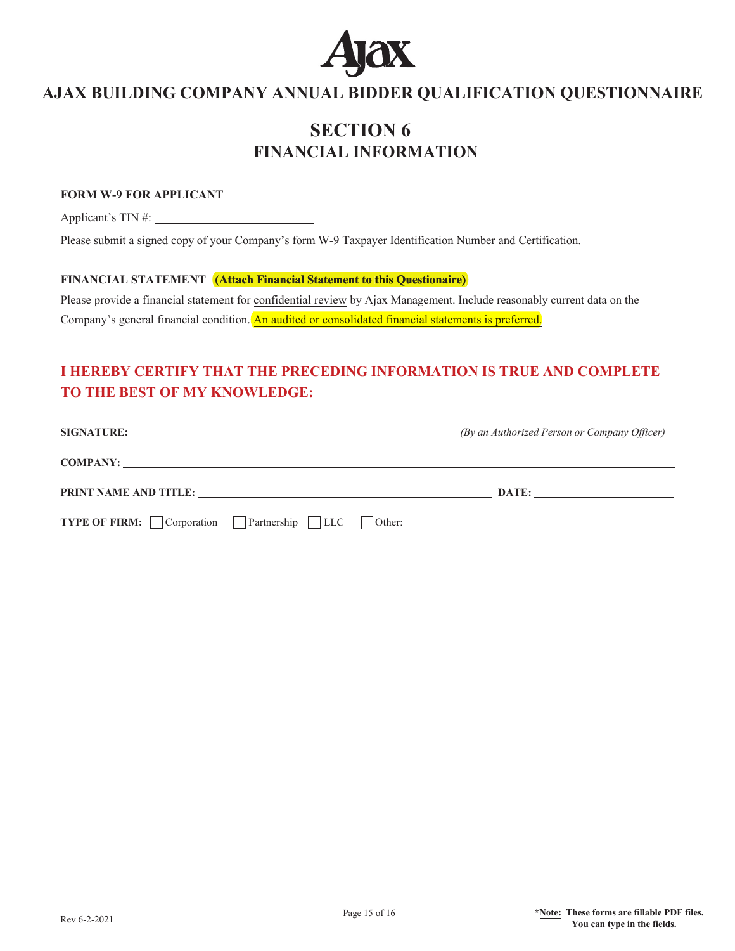

# **SECTION 6 FINANCIAL INFORMATION**

### **FORM W-9 FOR APPLICANT**

Applicant's TIN #:

Please submit a signed copy of your Company's form W-9 Taxpayer Identification Number and Certification.

### **FINANCIAL STATEMENT (Attach Financial Statement to this Questionaire)**

Please provide a financial statement for confidential review by Ajax Management. Include reasonably current data on the Company's general financial condition. An audited or consolidated financial statements is preferred.

## **I HEREBY CERTIFY THAT THE PRECEDING INFORMATION IS TRUE AND COMPLETE TO THE BEST OF MY KNOWLEDGE:**

|                                                         | (By an Authorized Person or Company Officer) |
|---------------------------------------------------------|----------------------------------------------|
|                                                         |                                              |
| PRINT NAME AND TITLE:                                   | DATE:                                        |
| <b>TYPE OF FIRM:</b> Corporation Partnership LLC Other: |                                              |